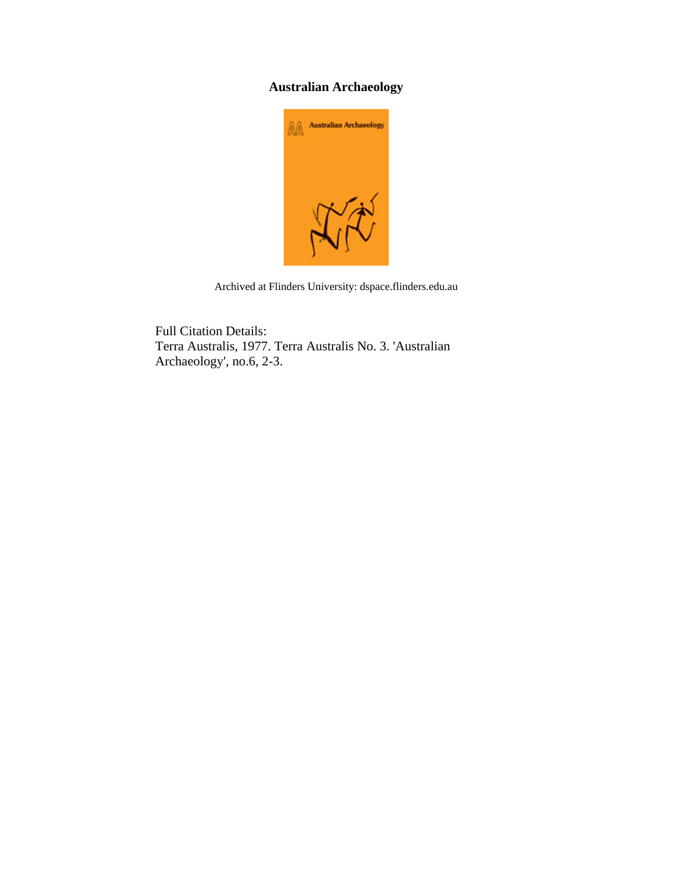## **Australian Archaeology**



Archived at Flinders University: dspace.flinders.edu.au

Full Citation Details: Terra Australis, 1977. Terra Australis No. 3. 'Australian Archaeology', no.6, 2-3.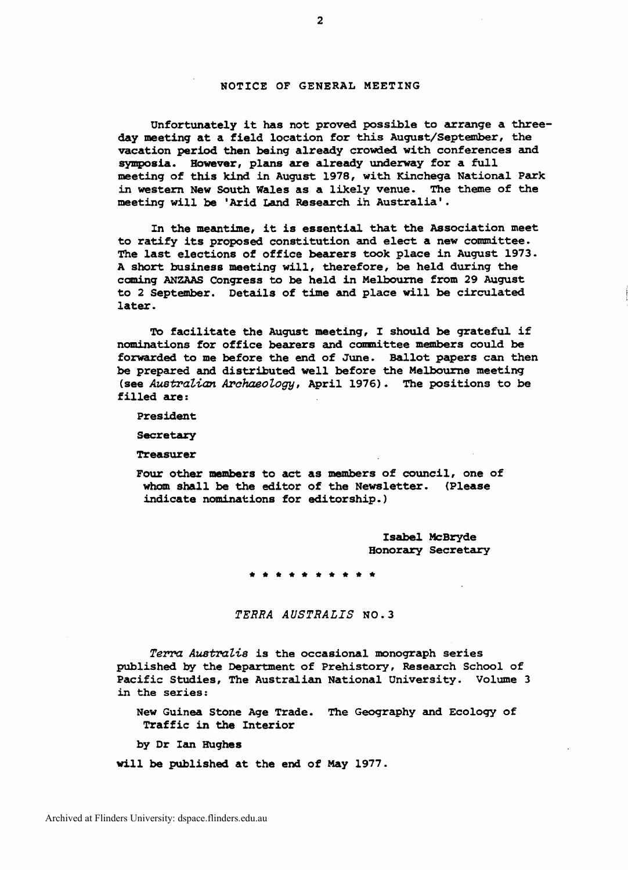## **NOTICE** OF **GENERAL** MEETING

Unfortunately it has not proved possible to arrange a three**day** meeting at a field location for **this** August/September, the vacation **period** then being already crowded with conferences and symposia. **However,** plans **are** already underway for a full meeting of this kind in August 1978, with Kinchega National Park in western New South Wales as a likely venue. The theme of the meeting will be 'Arid Land Research in Australia'.

In **the** meantime, it is essential that **the** Association meet to ratify its proposed constitution and elect a new committee. The last elections of office bearers took place in August 1973. <sup>A</sup>**short** business meeting will, therefore, be held during the coming **ANZAAS** Congress to be held in Melbourne from 29 **August**  to 2 September. Details of time and place will be circulated later.

To facilitate **the August** meting, I should be grateful if nominations for office **bearers** and committee **members** could be forwarded to me before **the** end of June. Ballot papers **can** then be prepared and distributed well before the Melbourne meeting **(see** *AustraZ.ian* **Archaeology,** April 1976). The positions to be filled are:

President

Secretary

Treasurer

**Four** other **members** to act as members of council, one of **whom** shall be the editor of the Newsletter. (Please indicate nominations for editorship.)

> **Isabel McBryde**  Honorary Secretary

**\*\*\*\*\*\*\*** 

*TERRA AUSTRALIS* **NO. 3** 

Terra Australis is the occasional monograph series published by the Department of Prehistory, Research School of Pacific Studies, The Australian National University. Volume 3 in **the series:** 

New **Guinea** Stone **Age** Trade. **The** Geography and Ecology of Traffic in **the** Interior

**by Dr Ian mghes** 

will be published at the end of **May** 1977.